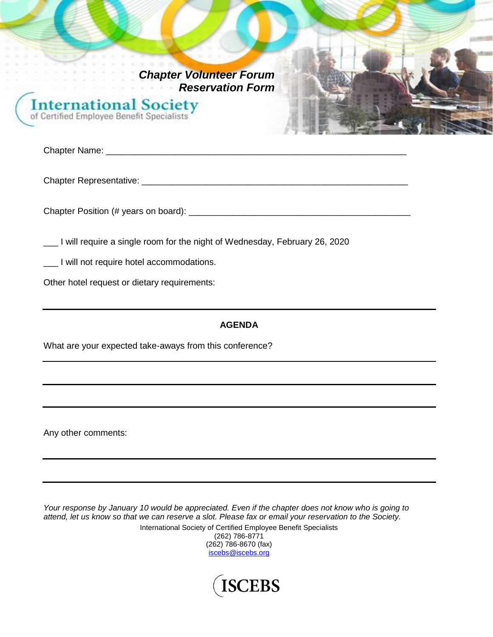*Chapter Volunteer Forum Reservation Form* **International Society** of Certified Employee Benefit Specialists

Chapter Name: \_\_\_\_\_\_\_\_\_\_\_\_\_\_\_\_\_\_\_\_\_\_\_\_\_\_\_\_\_\_\_\_\_\_\_\_\_\_\_\_\_\_\_\_\_\_\_\_\_\_\_\_\_\_\_\_\_\_\_\_\_

Chapter Representative: \_\_\_\_\_\_\_\_\_\_\_\_\_\_\_\_\_\_\_\_\_\_\_\_\_\_\_\_\_\_\_\_\_\_\_\_\_\_\_\_\_\_\_\_\_\_\_\_\_\_\_\_\_\_

Chapter Position (# years on board): \_\_\_\_\_\_\_\_\_\_\_\_\_\_\_\_\_\_\_\_\_\_\_\_\_\_\_\_\_\_\_\_\_\_\_\_\_\_\_\_\_\_\_\_\_

\_\_\_ I will require a single room for the night of Wednesday, February 26, 2020

\_\_\_ I will not require hotel accommodations.

Other hotel request or dietary requirements:

### **AGENDA**

What are your expected take-aways from this conference?

Any other comments:

*Your response by January 10 would be appreciated. Even if the chapter does not know who is going to attend, let us know so that we can reserve a slot. Please fax or email your reservation to the Society.* International Society of Certified Employee Benefit Specialists (262) 786-8771 (262) 786-8670 (fax)



[iscebs@iscebs.org](mailto:iscebs@iscebs.org)